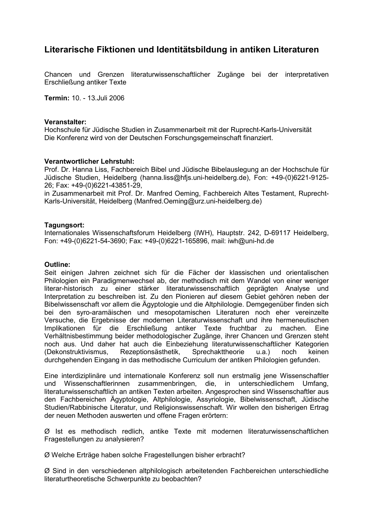# **Literarische Fiktionen und Identitätsbildung in antiken Literaturen**

Chancen und Grenzen literaturwissenschaftlicher Zugänge bei der interpretativen Erschließung antiker Texte

**Termin:** 10. - 13.Juli 2006

## **Veranstalter:**

Hochschule für Jüdische Studien in Zusammenarbeit mit der Ruprecht-Karls-Universität Die Konferenz wird von der Deutschen Forschungsgemeinschaft finanziert.

# **Verantwortlicher Lehrstuhl:**

Prof. Dr. Hanna Liss, Fachbereich Bibel und Jüdische Bibelauslegung an der Hochschule für Jüdische Studien, Heidelberg (hanna.liss@hfjs.uni-heidelberg.de), Fon: +49-(0)6221-9125- 26; Fax: +49-(0)6221-43851-29,

in Zusammenarbeit mit Prof. Dr. Manfred Oeming, Fachbereich Altes Testament, Ruprecht-Karls-Universität, Heidelberg (Manfred.Oeming@urz.uni-heidelberg.de)

# **Tagungsort:**

Internationales Wissenschaftsforum Heidelberg (IWH), Hauptstr. 242, D-69117 Heidelberg, Fon: +49-(0)6221-54-3690; Fax: +49-(0)6221-165896, mail: iwh@uni-hd.de

## **Outline:**

Seit einigen Jahren zeichnet sich für die Fächer der klassischen und orientalischen Philologien ein Paradigmenwechsel ab, der methodisch mit dem Wandel von einer weniger literar-historisch zu einer stärker literaturwissenschaftlich geprägten Analyse und Interpretation zu beschreiben ist. Zu den Pionieren auf diesem Gebiet gehören neben der Bibelwissenschaft vor allem die Ägyptologie und die Altphilologie. Demgegenüber finden sich bei den syro-aramäischen und mesopotamischen Literaturen noch eher vereinzelte Versuche, die Ergebnisse der modernen Literaturwissenschaft und ihre hermeneutischen Implikationen für die Erschließung antiker Texte fruchtbar zu machen. Eine Verhältnisbestimmung beider methodologischer Zugänge, ihrer Chancen und Grenzen steht noch aus. Und daher hat auch die Einbeziehung literaturwissenschaftlicher Kategorien (Dekonstruktivismus, Rezeptionsästhetik, Sprechakttheorie u.a.) noch keinen durchgehenden Eingang in das methodische Curriculum der antiken Philologien gefunden.

Eine interdiziplinäre und internationale Konferenz soll nun erstmalig jene Wissenschaftler und Wissenschaftlerinnen zusammenbringen, die, in unterschiedlichem Umfang, literaturwissenschaftlich an antiken Texten arbeiten. Angesprochen sind Wissenschaftler aus den Fachbereichen Ägyptologie, Altphilologie, Assyriologie, Bibelwissenschaft, Jüdische Studien/Rabbinische Literatur, und Religionswissenschaft. Wir wollen den bisherigen Ertrag der neuen Methoden auswerten und offene Fragen erörtern:

Ø Ist es methodisch redlich, antike Texte mit modernen literaturwissenschaftlichen Fragestellungen zu analysieren?

Ø Welche Erträge haben solche Fragestellungen bisher erbracht?

Ø Sind in den verschiedenen altphilologisch arbeitetenden Fachbereichen unterschiedliche literaturtheoretische Schwerpunkte zu beobachten?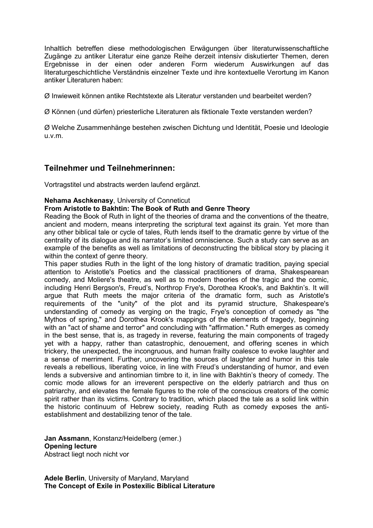Inhaltlich betreffen diese methodologischen Erwägungen über literaturwissenschaftliche Zugänge zu antiker Literatur eine ganze Reihe derzeit intensiv diskutierter Themen, deren Ergebnisse in der einen oder anderen Form wiederum Auswirkungen auf das literaturgeschichtliche Verständnis einzelner Texte und ihre kontextuelle Verortung im Kanon antiker Literaturen haben:

Ø Inwieweit können antike Rechtstexte als Literatur verstanden und bearbeitet werden?

Ø Können (und dürfen) priesterliche Literaturen als fiktionale Texte verstanden werden?

Ø Welche Zusammenhänge bestehen zwischen Dichtung und Identität, Poesie und Ideologie u.v.m.

# **Teilnehmer und Teilnehmerinnen:**

Vortragstitel und abstracts werden laufend ergänzt.

# **Nehama Aschkenasy**, University of Conneticut

## **From Aristotle to Bakhtin: The Book of Ruth and Genre Theory**

Reading the Book of Ruth in light of the theories of drama and the conventions of the theatre, ancient and modern, means interpreting the scriptural text against its grain. Yet more than any other biblical tale or cycle of tales, Ruth lends itself to the dramatic genre by virtue of the centrality of its dialogue and its narrator's limited omniscience. Such a study can serve as an example of the benefits as well as limitations of deconstructing the biblical story by placing it within the context of genre theory.

This paper studies Ruth in the light of the long history of dramatic tradition, paying special attention to Aristotle's Poetics and the classical practitioners of drama, Shakespearean comedy, and Moliere's theatre, as well as to modern theories of the tragic and the comic, including Henri Bergson's, Freud's, Northrop Frye's, Dorothea Krook's, and Bakhtin's. It will argue that Ruth meets the major criteria of the dramatic form, such as Aristotle's requirements of the "unity" of the plot and its pyramid structure, Shakespeare's understanding of comedy as verging on the tragic, Frye's conception of comedy as "the Mythos of spring," and Dorothea Krook's mappings of the elements of tragedy, beginning with an "act of shame and terror" and concluding with "affirmation." Ruth emerges as comedy in the best sense, that is, as tragedy in reverse, featuring the main components of tragedy yet with a happy, rather than catastrophic, denouement, and offering scenes in which trickery, the unexpected, the incongruous, and human frailty coalesce to evoke laughter and a sense of merriment. Further, uncovering the sources of laughter and humor in this tale reveals a rebellious, liberating voice, in line with Freud's understanding of humor, and even lends a subversive and antinomian timbre to it, in line with Bakhtin's theory of comedy. The comic mode allows for an irreverent perspective on the elderly patriarch and thus on patriarchy, and elevates the female figures to the role of the conscious creators of the comic spirit rather than its victims. Contrary to tradition, which placed the tale as a solid link within the historic continuum of Hebrew society, reading Ruth as comedy exposes the antiestablishment and destabilizing tenor of the tale.

**Jan Assmann**, Konstanz/Heidelberg (emer.) **Opening lecture**  Abstract liegt noch nicht vor

**Adele Berlin**, University of Maryland, Maryland **The Concept of Exile in Postexilic Biblical Literature**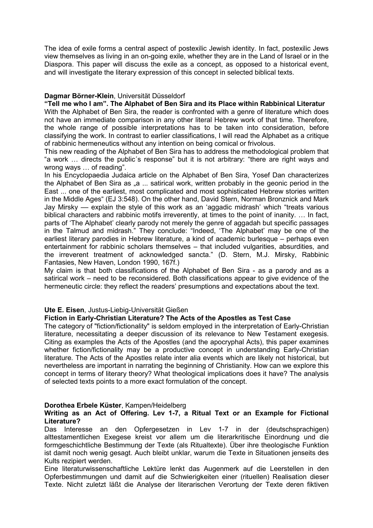The idea of exile forms a central aspect of postexilic Jewish identity. In fact, postexilic Jews view themselves as living in an on-going exile, whether they are in the Land of Israel or in the Diaspora. This paper will discuss the exile as a concept, as opposed to a historical event, and will investigate the literary expression of this concept in selected biblical texts.

# **Dagmar Börner-Klein**, Universität Düsseldorf

**"Tell me who I am". The Alphabet of Ben Sira and its Place within Rabbinical Literatur**  With the Alphabet of Ben Sira, the reader is confronted with a genre of literature which does not have an immediate comparison in any other literal Hebrew work of that time. Therefore, the whole range of possible interpretations has to be taken into consideration, before classifying the work. In contrast to earlier classifications, I will read the Alphabet as a critique of rabbinic hermeneutics without any intention on being comical or frivolous.

This new reading of the Alphabet of Ben Sira has to address the methodological problem that "a work … directs the public´s response" but it is not arbitrary: "there are right ways and wrong ways … of reading".

In his Encyclopaedia Judaica article on the Alphabet of Ben Sira, Yosef Dan characterizes the Alphabet of Ben Sira as  $\alpha$  ... satirical work, written probably in the geonic period in the East ... one of the earliest, most complicated and most sophisticated Hebrew stories written in the Middle Ages" (EJ 3:548). On the other hand, David Stern, Norman Bronznick and Mark Jay Mirsky –– explain the style of this work as an 'aggadic midrash' which "treats various biblical characters and rabbinic motifs irreverently, at times to the point of inanity. … In fact, parts of 'The Alphabet' clearly parody not merely the genre of aggadah but specific passages in the Talmud and midrash." They conclude: "Indeed, 'The Alphabet' may be one of the earliest literary parodies in Hebrew literature, a kind of academic burlesque – perhaps even entertainment for rabbinic scholars themselves – that included vulgarities, absurdities, and the irreverent treatment of acknowledged sancta." (D. Stern, M.J. Mirsky, Rabbinic Fantasies, New Haven, London 1990, 167f.)

My claim is that both classifications of the Alphabet of Ben Sira - as a parody and as a satirical work – need to be reconsidered. Both classifications appear to give evidence of the hermeneutic circle: they reflect the readers' presumptions and expectations about the text.

# **Ute E. Eisen**, Justus-Liebig-Universität Gießen

# **Fiction in Early-Christian Literature? The Acts of the Apostles as Test Case**

The category of "fiction/fictionality" is seldom employed in the interpretation of Early-Christian literature, necessitating a deeper discussion of its relevance to New Testament exegesis. Citing as examples the Acts of the Apostles (and the apocryphal Acts), this paper examines whether fiction/fictionality may be a productive concept in understanding Early-Christian literature. The Acts of the Apostles relate inter alia events which are likely not historical, but nevertheless are important in narrating the beginning of Christianity. How can we explore this concept in terms of literary theory? What theological implications does it have? The analysis of selected texts points to a more exact formulation of the concept.

## **Dorothea Erbele Küster**, Kampen/Heidelberg

## **Writing as an Act of Offering. Lev 1-7, a Ritual Text or an Example for Fictional Literature?**

Das Interesse an den Opfergesetzen in Lev 1-7 in der (deutschsprachigen) alttestamentlichen Exegese kreist vor allem um die literarkritische Einordnung und die formgeschichtliche Bestimmung der Texte (als Ritualtexte). Über ihre theologische Funktion ist damit noch wenig gesagt. Auch bleibt unklar, warum die Texte in Situationen jenseits des Kults rezipiert werden.

Eine literaturwissenschaftliche Lektüre lenkt das Augenmerk auf die Leerstellen in den Opferbestimmungen und damit auf die Schwierigkeiten einer (rituellen) Realisation dieser Texte. Nicht zuletzt läßt die Analyse der literarischen Verortung der Texte deren fiktiven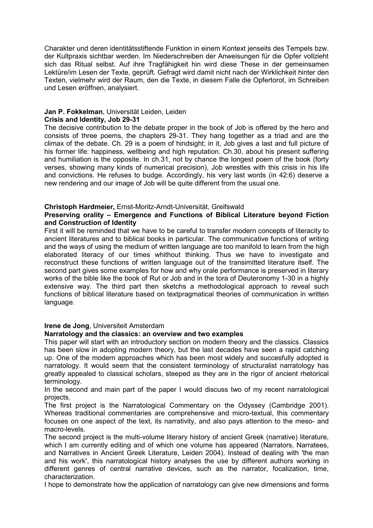Charakter und deren identitätsstiftende Funktion in einem Kontext jenseits des Tempels bzw. der Kultpraxis sichtbar werden. Im Niederschreiben der Anweisungen für die Opfer vollzieht sich das Ritual selbst. Auf ihre Tragfähigkeit hin wird diese These in der gemeinsamen Lektüre/im Lesen der Texte, geprüft. Gefragt wird damit nicht nach der Wirklichkeit hinter den Texten, vielmehr wird der Raum, den die Texte, in diesem Falle die Opfertorot, im Schreiben und Lesen eröffnen, analysiert.

## **Jan P. Fokkelman**, Universität Leiden, Leiden **Crisis and Identity, Job 29-31**

The decisive contribution to the debate proper in the book of Job is offered by the hero and consists of three poems, the chapters 29-31. They hang together as a triad and are the climax of the debate. Ch. 29 is a poem of hindsight; in it, Job gives a last and full picture of his former life: happiness, wellbeing and high reputation. Ch.30, about his present suffering and humiliation is the opposite. In ch.31, not by chance the longest poem of the book (forty verses, showing many kinds of numerical precision), Job wrestles with this crisis in his life and convictions. He refuses to budge. Accordingly, his very last words (in 42:6) deserve a new rendering and our image of Job will be quite different from the usual one.

# **Christoph Hardmeier,** Ernst-Moritz-Arndt-Universität, Greifswald

# **Preserving orality – Emergence and Functions of Biblical Literature beyond Fiction and Construction of Identity**

First it will be reminded that we have to be careful to transfer modern concepts of literacity to ancient literatures and to biblical books in particular. The communicative functions of writing and the ways of using the medium of written language are too manifold to learn from the high elaborated literacy of our times whithout thinking. Thus we have to investigate and reconstruct these functions of written language out of the transimitted literature itself. The second part gives some examples for how and why orale performance is preserved in literary works of the bible like the book of Rut or Job and in the tora of Deuteronomy 1-30 in a highly extensive way. The third part then sketchs a methodological approach to reveal such functions of biblical literature based on textpragmatical theories of communication in written language.

# **Irene de Jong**, Universiteit Amsterdam

# **Narratology and the classics: an overview and two examples**

This paper will start with an introductory section on modern theory and the classics. Classics has been slow in adopting modern theory, but the last decades have seen a rapid catching up. One of the modern approaches which has been most widely and succesfully adopted is narratology. It would seem that the consistent terminology of structuralist narratology has greatly appealed to classical scholars, steeped as they are in the rigor of ancient rhetorical terminology.

In the second and main part of the paper I would discuss two of my recent narratological projects.

The first project is the Narratological Commentary on the Odyssey (Cambridge 2001). Whereas traditional commentaries are comprehensive and micro-textual, this commentary focuses on one aspect of the text, its narrativity, and also pays attention to the meso- and macro-levels.

The second project is the multi-volume literary history of ancient Greek (narrative) literature, which I am currently editing and of which one volume has appeared (Narrators, Narratees, and Narratives in Ancient Greek Literature, Leiden 2004). Instead of dealing with 'the man and his work', this narratological history analyses the use by different authors working in different genres of central narrative devices, such as the narrator, focalization, time, characterization.

I hope to demonstrate how the application of narratology can give new dimensions and forms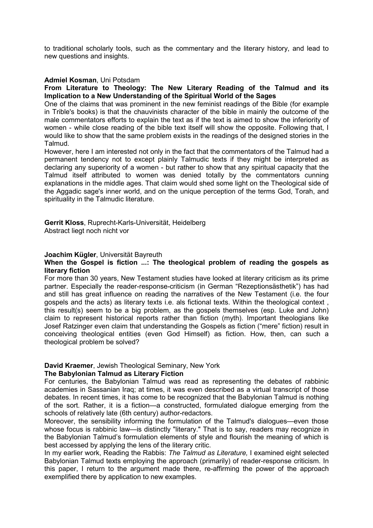to traditional scholarly tools, such as the commentary and the literary history, and lead to new questions and insights.

## **Admiel Kosman**, Uni Potsdam

## **From Literature to Theology: The New Literary Reading of the Talmud and its Implication to a New Understanding of the Spiritual World of the Sages**

One of the claims that was prominent in the new feminist readings of the Bible (for example in Trible's books) is that the chauvinists character of the bible in mainly the outcome of the male commentators efforts to explain the text as if the text is aimed to show the inferiority of women - while close reading of the bible text itself will show the opposite. Following that, I would like to show that the same problem exists in the readings of the designed stories in the Talmud.

However, here I am interested not only in the fact that the commentators of the Talmud had a permanent tendency not to except plainly Talmudic texts if they might be interpreted as declaring any superiority of a women - but rather to show that any spiritual capacity that the Talmud itself attributed to women was denied totally by the commentators cunning explanations in the middle ages. That claim would shed some light on the Theological side of the Aggadic sage's inner world, and on the unique perception of the terms God, Torah, and spirituality in the Talmudic literature.

**Gerrit Kloss**, Ruprecht-Karls-Universität, Heidelberg Abstract liegt noch nicht vor

# **Joachim Kügler**, Universität Bayreuth

# **When the Gospel is fiction ...: The theological problem of reading the gospels as literary fiction**

For more than 30 years, New Testament studies have looked at literary criticism as its prime partner. Especially the reader-response-criticism (in German "Rezeptionsästhetik") has had and still has great influence on reading the narratives of the New Testament (i.e. the four gospels and the acts) as literary texts i.e. als fictional texts. Within the theological context , this result(s) seem to be a big problem, as the gospels themselves (esp. Luke and John) claim to represent historical reports rather than fiction (myth). Important theologians like Josef Ratzinger even claim that understanding the Gospels as fiction ("mere" fiction) result in conceiving theological entities (even God Himself) as fiction. How, then, can such a theological problem be solved?

#### **David Kraemer**, Jewish Theological Seminary, New York **The Babylonian Talmud as Literary Fiction**

For centuries, the Babylonian Talmud was read as representing the debates of rabbinic academies in Sassanian Iraq; at times, it was even described as a virtual transcript of those debates. In recent times, it has come to be recognized that the Babylonian Talmud is nothing of the sort. Rather, it is a fiction—a constructed, formulated dialogue emerging from the schools of relatively late (6th century) author-redactors.

Moreover, the sensibility informing the formulation of the Talmud's dialogues—even those whose focus is rabbinic law—is distinctly "literary." That is to say, readers may recognize in the Babylonian Talmud's formulation elements of style and flourish the meaning of which is best accessed by applying the lens of the literary critic.

In my earlier work, Reading the Rabbis: *The Talmud as Literature,* I examined eight selected Babylonian Talmud texts employing the approach (primarily) of reader-response criticism. In this paper, I return to the argument made there, re-affirming the power of the approach exemplified there by application to new examples.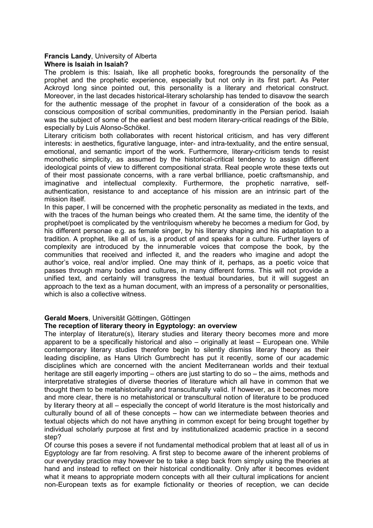## **Francis Landy**, University of Alberta **Where is Isaiah in Isaiah?**

The problem is this: Isaiah, like all prophetic books, foregrounds the personality of the prophet and the prophetic experience, especially but not only in its first part. As Peter Ackroyd long since pointed out, this personality is a literary and rhetorical construct. Moreover, in the last decades historical-literary scholarship has tended to disavow the search for the authentic message of the prophet in favour of a consideration of the book as a conscious composition of scribal communities, predominantly in the Persian period. Isaiah was the subject of some of the earliest and best modern literary-critical readings of the Bible, especially by Luis Alonso-Schökel.

Literary criticism both collaborates with recent historical criticism, and has very different interests: in aesthetics, figurative language, inter- and intra-textuality, and the entire sensual, emotional, and semantic import of the work. Furthermore, literary-criticism tends to resist monothetic simplicity, as assumed by the historical-critical tendency to assign different ideological points of view to different compositional strata. Real people wrote these texts out of their most passionate concerns, with a rare verbal brllliance, poetic craftsmanship, and imaginative and intellectual complexity. Furthermore, the prophetic narrative, selfauthentication, resistance to and acceptance of his mission are an intrinsic part of the mission itself.

In this paper, I will be concerned with the prophetic personality as mediated in the texts, and with the traces of the human beings who created them. At the same time, the identity of the prophet/poet is complicated by the ventriloquism whereby he becomes a medium for God, by his different personae e.g. as female singer, by his literary shaping and his adaptation to a tradition. A prophet, like all of us, is a product of and speaks for a culture. Further layers of complexity are introduced by the innumerable voices that compose the book, by the communities that received and inflected it, and the readers who imagine and adopt the author's voice, real and/or implied. One may think of it, perhaps, as a poetic voice that passes through many bodies and cultures, in many different forms. This will not provide a unified text, and certainly will transgress the textual boundaries, but it will suggest an approach to the text as a human document, with an impress of a personality or personalities, which is also a collective witness.

# **Gerald Moers**, Universität Göttingen, Göttingen

# **The reception of literary theory in Egyptology: an overview**

The interplay of literature(s), literary studies and literary theory becomes more and more apparent to be a specifically historical and also – originally at least – European one. While contemporary literary studies therefore begin to silently dismiss literary theory as their leading discipline, as Hans Ulrich Gumbrecht has put it recently, some of our academic disciplines which are concerned with the ancient Mediterranean worlds and their textual heritage are still eagerly importing – others are just starting to do so – the aims, methods and interpretative strategies of diverse theories of literature which all have in common that we thought them to be metahistorically and transculturally valid. If however, as it becomes more and more clear, there is no metahistorical or transcultural notion of literature to be produced by literary theory at all – especially the concept of world literature is the most historically and culturally bound of all of these concepts – how can we intermediate between theories and textual objects which do not have anything in common except for being brought together by individual scholarly purpose at first and by institutionalized academic practice in a second step?

Of course this poses a severe if not fundamental methodical problem that at least all of us in Egyptology are far from resolving. A first step to become aware of the inherent problems of our everyday practice may however be to take a step back from simply using the theories at hand and instead to reflect on their historical conditionality. Only after it becomes evident what it means to appropriate modern concepts with all their cultural implications for ancient non-European texts as for example fictionality or theories of reception, we can decide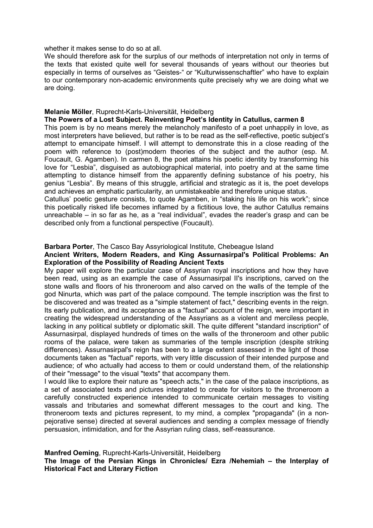whether it makes sense to do so at all.

We should therefore ask for the surplus of our methods of interpretation not only in terms of the texts that existed quite well for several thousands of years without our theories but especially in terms of ourselves as "Geistes-" or "Kulturwissenschaftler" who have to explain to our contemporary non-academic environments quite precisely why we are doing what we are doing.

## **Melanie Möller**, Ruprecht-Karls-Universität, Heidelberg

# **The Powers of a Lost Subject. Reinventing Poet's Identity in Catullus, carmen 8**

This poem is by no means merely the melancholy manifesto of a poet unhappily in love, as most interpreters have believed, but rather is to be read as the self-reflective, poetic subject's attempt to emancipate himself. I will attempt to demonstrate this in a close reading of the poem with reference to (post)modern theories of the subject and the author (esp. M. Foucault, G. Agamben). In carmen 8, the poet attains his poetic identity by transforming his love for "Lesbia", disguised as autobiographical material, into poetry and at the same time attempting to distance himself from the apparently defining substance of his poetry, his genius "Lesbia". By means of this struggle, artificial and strategic as it is, the poet develops and achieves an emphatic particularity, an unmistakeable and therefore unique status.

Catullus' poetic gesture consists, to quote Agamben, in "staking his life on his work"; since this poetically risked life becomes inflamed by a fictitious love, the author Catullus remains unreachable – in so far as he, as a "real individual", evades the reader's grasp and can be described only from a functional perspective (Foucault).

## **Barbara Porter**, The Casco Bay Assyriological Institute, Chebeague Island

#### **Ancient Writers, Modern Readers, and King Assurnasirpal's Political Problems: An Exploration of the Possibility of Reading Ancient Texts**

My paper will explore the particular case of Assyrian royal inscriptions and how they have been read, using as an example the case of Assurnasirpal II's inscriptions, carved on the stone walls and floors of his throneroom and also carved on the walls of the temple of the god Ninurta, which was part of the palace compound. The temple inscription was the first to be discovered and was treated as a "simple statement of fact," describing events in the reign. Its early publication, and its acceptance as a "factual" account of the reign, were important in creating the widespread understanding of the Assyrians as a violent and merciless people, lacking in any political subtlety or diplomatic skill. The quite different "standard inscription" of Assurnasirpal, displayed hundreds of times on the walls of the throneroom and other public rooms of the palace, were taken as summaries of the temple inscription (despite striking differences). Assurnasirpal's reign has been to a large extent assessed in the light of those documents taken as "factual" reports, with very little discussion of their intended purpose and audience; of who actually had access to them or could understand them, of the relationship of their "message" to the visual "texts" that accompany them.

I would like to explore their nature as "speech acts," in the case of the palace inscriptions, as a set of associated texts and pictures integrated to create for visitors to the throneroom a carefully constructed experience intended to communicate certain messages to visiting vassals and tributaries and somewhat different messages to the court and king. The throneroom texts and pictures represent, to my mind, a complex "propaganda" (in a nonpejorative sense) directed at several audiences and sending a complex message of friendly persuasion, intimidation, and for the Assyrian ruling class, self-reassurance.

## **Manfred Oeming**, Ruprecht-Karls-Universität, Heidelberg

**The Image of the Persian Kings in Chronicles/ Ezra /Nehemiah – the Interplay of Historical Fact and Literary Fiction**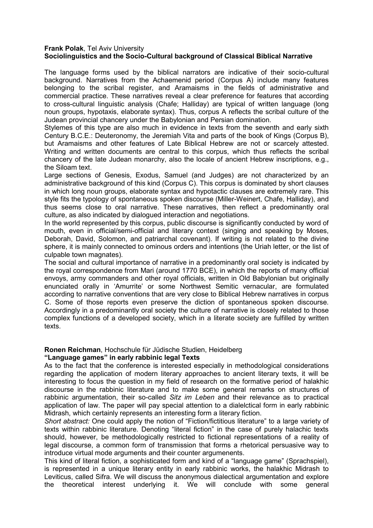## **Frank Polak**, Tel Aviv University **Sociolinguistics and the Socio-Cultural background of Classical Biblical Narrative**

The language forms used by the biblical narrators are indicative of their socio-cultural background. Narratives from the Achaemenid period (Corpus A) include many features belonging to the scribal register, and Aramaisms in the fields of administrative and commercial practice. These narratives reveal a clear preference for features that according to cross-cultural linguistic analysis (Chafe; Halliday) are typical of written language (long noun groups, hypotaxis, elaborate syntax). Thus, corpus A reflects the scribal culture of the Judean provincial chancery under the Babylonian and Persian domination.

Stylemes of this type are also much in evidence in texts from the seventh and early sixth Century B.C.E.: Deuteronomy, the Jeremiah Vita and parts of the book of Kings (Corpus B), but Aramaisms and other features of Late Biblical Hebrew are not or scarcely attested. Writing and written documents are central to this corpus, which thus reflects the scribal chancery of the late Judean monarchy, also the locale of ancient Hebrew inscriptions, e.g., the Siloam text.

Large sections of Genesis, Exodus, Samuel (and Judges) are not characterized by an administrative background of this kind (Corpus C). This corpus is dominated by short clauses in which long noun groups, elaborate syntax and hypotactic clauses are extremely rare. This style fits the typology of spontaneous spoken discourse (Miller-Weinert, Chafe, Halliday), and thus seems close to oral narrative. These narratives, then reflect a predominantly oral culture, as also indicated by dialogued interaction and negotiations.

In the world represented by this corpus, public discourse is significantly conducted by word of mouth, even in official/semi-official and literary context (singing and speaking by Moses, Deborah, David, Solomon, and patriarchal covenant). If writing is not related to the divine sphere, it is mainly connected to ominous orders and intentions (the Uriah letter, or the list of culpable town magnates).

The social and cultural importance of narrative in a predominantly oral society is indicated by the royal correspondence from Mari (around 1770 BCE), in which the reports of many official envoys, army commanders and other royal officials, written in Old Babylonian but originally enunciated orally in 'Amurrite' or some Northwest Semitic vernacular, are formulated according to narrative conventions that are very close to Biblical Hebrew narratives in corpus C. Some of those reports even preserve the diction of spontaneous spoken discourse. Accordingly in a predominantly oral society the culture of narrative is closely related to those complex functions of a developed society, which in a literate society are fulfilled by written texts.

# **Ronen Reichman**, Hochschule für Jüdische Studien, Heidelberg

# **"Language games" in early rabbinic legal Texts**

As to the fact that the conference is interested especially in methodological considerations regarding the application of modern literary approaches to ancient literary texts, it will be interesting to focus the question in my field of research on the formative period of halakhic discourse in the rabbinic literature and to make some general remarks on structures of rabbinic argumentation, their so-called *Sitz im Leben* and their relevance as to practical application of law. The paper will pay special attention to a dialelctical form in early rabbinic Midrash, which certainly represents an interesting form a literary fiction.

*Short abstract:* One could apply the notion of "Fiction/fictitious literature" to a large variety of texts within rabbinic literature. Denoting "literal fiction" in the case of purely halachic texts should, however, be methodologically restricted to fictional representations of a reality of legal discourse, a common form of transmission that forms a rhetorical persuasive way to introduce virtual mode arguments and their counter argumenents.

This kind of literal fiction, a sophisticated form and kind of a "language game" (Sprachspiel), is represented in a unique literary entity in early rabbinic works, the halakhic Midrash to Leviticus, called Sifra. We will discuss the anonymous dialectical argumentation and explore the theoretical interest underlying it. We will conclude with some general